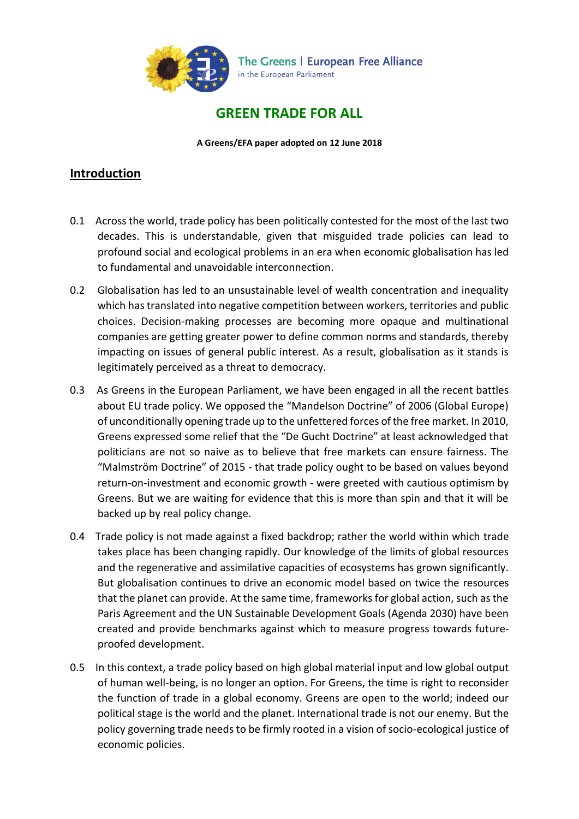

# **GREEN TRADE FOR ALL**

**A Greens/EFA paper adopted on 12 June 2018**

### **Introduction**

- 0.1 Across the world, trade policy has been politically contested for the most of the last two decades. This is understandable, given that misguided trade policies can lead to profound social and ecological problems in an era when economic globalisation has led to fundamental and unavoidable interconnection.
- 0.2 Globalisation has led to an unsustainable level of wealth concentration and inequality which has translated into negative competition between workers, territories and public choices. Decision-making processes are becoming more opaque and multinational companies are getting greater power to define common norms and standards, thereby impacting on issues of general public interest. As a result, globalisation as it stands is legitimately perceived as a threat to democracy.
- 0.3 As Greens in the European Parliament, we have been engaged in all the recent battles about EU trade policy. We opposed the "Mandelson Doctrine" of 2006 (Global Europe) of unconditionally opening trade up to the unfettered forces of the free market. In 2010, Greens expressed some relief that the "De Gucht Doctrine" at least acknowledged that politicians are not so naive as to believe that free markets can ensure fairness. The "Malmström Doctrine" of 2015 - that trade policy ought to be based on values beyond return-on-investment and economic growth - were greeted with cautious optimism by Greens. But we are waiting for evidence that this is more than spin and that it will be backed up by real policy change.
- 0.4 Trade policy is not made against a fixed backdrop; rather the world within which trade takes place has been changing rapidly. Our knowledge of the limits of global resources and the regenerative and assimilative capacities of ecosystems has grown significantly. But globalisation continues to drive an economic model based on twice the resources that the planet can provide. At the same time, frameworks for global action, such as the Paris Agreement and the UN Sustainable Development Goals (Agenda 2030) have been created and provide benchmarks against which to measure progress towards futureproofed development.
- 0.5 In this context, a trade policy based on high global material input and low global output of human well-being, is no longer an option. For Greens, the time is right to reconsider the function of trade in a global economy. Greens are open to the world; indeed our political stage is the world and the planet. International trade is not our enemy. But the policy governing trade needs to be firmly rooted in a vision of socio-ecological justice of economic policies.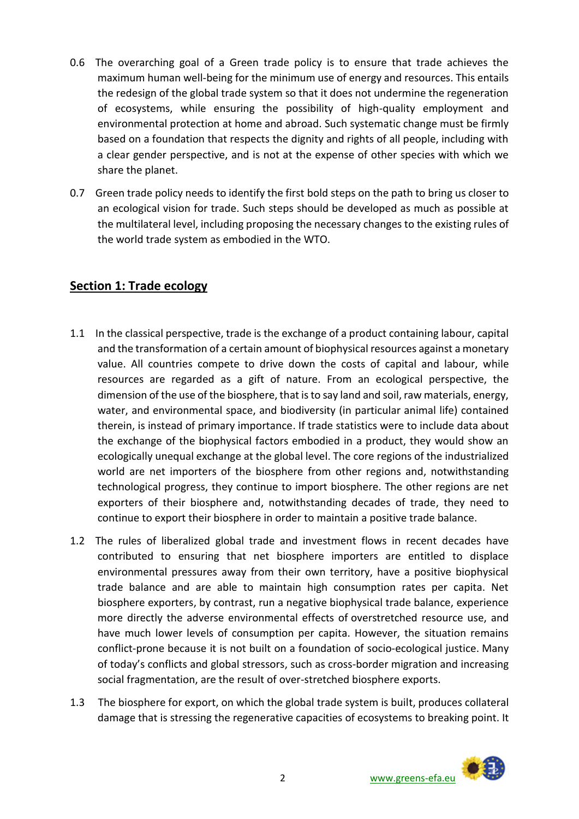- 0.6 The overarching goal of a Green trade policy is to ensure that trade achieves the maximum human well-being for the minimum use of energy and resources. This entails the redesign of the global trade system so that it does not undermine the regeneration of ecosystems, while ensuring the possibility of high-quality employment and environmental protection at home and abroad. Such systematic change must be firmly based on a foundation that respects the dignity and rights of all people, including with a clear gender perspective, and is not at the expense of other species with which we share the planet.
- 0.7 Green trade policy needs to identify the first bold steps on the path to bring us closer to an ecological vision for trade. Such steps should be developed as much as possible at the multilateral level, including proposing the necessary changes to the existing rules of the world trade system as embodied in the WTO.

### **Section 1: Trade ecology**

- 1.1 In the classical perspective, trade is the exchange of a product containing labour, capital and the transformation of a certain amount of biophysical resources against a monetary value. All countries compete to drive down the costs of capital and labour, while resources are regarded as a gift of nature. From an ecological perspective, the dimension of the use of the biosphere, that is to say land and soil, raw materials, energy, water, and environmental space, and biodiversity (in particular animal life) contained therein, is instead of primary importance. If trade statistics were to include data about the exchange of the biophysical factors embodied in a product, they would show an ecologically unequal exchange at the global level. The core regions of the industrialized world are net importers of the biosphere from other regions and, notwithstanding technological progress, they continue to import biosphere. The other regions are net exporters of their biosphere and, notwithstanding decades of trade, they need to continue to export their biosphere in order to maintain a positive trade balance.
- 1.2 The rules of liberalized global trade and investment flows in recent decades have contributed to ensuring that net biosphere importers are entitled to displace environmental pressures away from their own territory, have a positive biophysical trade balance and are able to maintain high consumption rates per capita. Net biosphere exporters, by contrast, run a negative biophysical trade balance, experience more directly the adverse environmental effects of overstretched resource use, and have much lower levels of consumption per capita. However, the situation remains conflict-prone because it is not built on a foundation of socio-ecological justice. Many of today's conflicts and global stressors, such as cross-border migration and increasing social fragmentation, are the result of over-stretched biosphere exports.
- 1.3 The biosphere for export, on which the global trade system is built, produces collateral damage that is stressing the regenerative capacities of ecosystems to breaking point. It

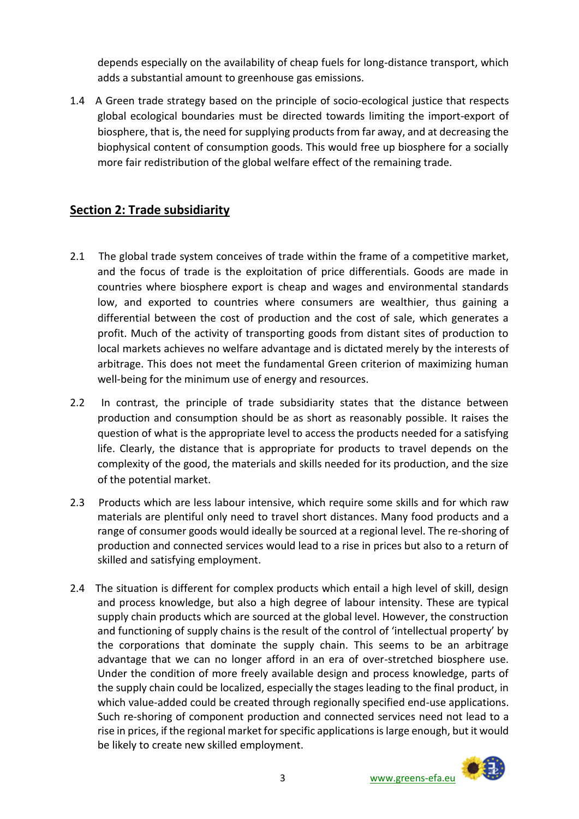depends especially on the availability of cheap fuels for long-distance transport, which adds a substantial amount to greenhouse gas emissions.

1.4 A Green trade strategy based on the principle of socio-ecological justice that respects global ecological boundaries must be directed towards limiting the import-export of biosphere, that is, the need for supplying products from far away, and at decreasing the biophysical content of consumption goods. This would free up biosphere for a socially more fair redistribution of the global welfare effect of the remaining trade.

## **Section 2: Trade subsidiarity**

- 2.1 The global trade system conceives of trade within the frame of a competitive market, and the focus of trade is the exploitation of price differentials. Goods are made in countries where biosphere export is cheap and wages and environmental standards low, and exported to countries where consumers are wealthier, thus gaining a differential between the cost of production and the cost of sale, which generates a profit. Much of the activity of transporting goods from distant sites of production to local markets achieves no welfare advantage and is dictated merely by the interests of arbitrage. This does not meet the fundamental Green criterion of maximizing human well-being for the minimum use of energy and resources.
- 2.2 In contrast, the principle of trade subsidiarity states that the distance between production and consumption should be as short as reasonably possible. It raises the question of what is the appropriate level to access the products needed for a satisfying life. Clearly, the distance that is appropriate for products to travel depends on the complexity of the good, the materials and skills needed for its production, and the size of the potential market.
- 2.3 Products which are less labour intensive, which require some skills and for which raw materials are plentiful only need to travel short distances. Many food products and a range of consumer goods would ideally be sourced at a regional level. The re-shoring of production and connected services would lead to a rise in prices but also to a return of skilled and satisfying employment.
- 2.4 The situation is different for complex products which entail a high level of skill, design and process knowledge, but also a high degree of labour intensity. These are typical supply chain products which are sourced at the global level. However, the construction and functioning of supply chains is the result of the control of 'intellectual property' by the corporations that dominate the supply chain. This seems to be an arbitrage advantage that we can no longer afford in an era of over-stretched biosphere use. Under the condition of more freely available design and process knowledge, parts of the supply chain could be localized, especially the stages leading to the final product, in which value-added could be created through regionally specified end-use applications. Such re-shoring of component production and connected services need not lead to a rise in prices, if the regional market for specific applications is large enough, but it would be likely to create new skilled employment.

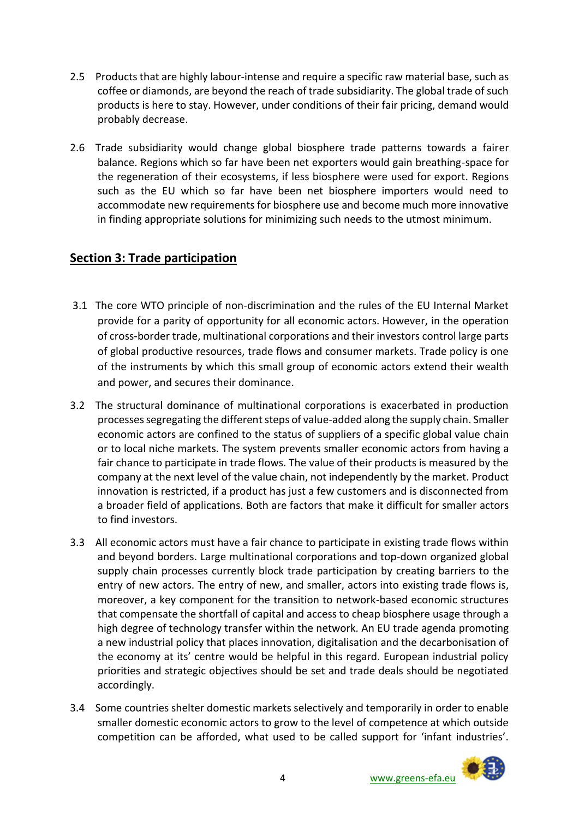- 2.5 Products that are highly labour-intense and require a specific raw material base, such as coffee or diamonds, are beyond the reach of trade subsidiarity. The global trade of such products is here to stay. However, under conditions of their fair pricing, demand would probably decrease.
- 2.6 Trade subsidiarity would change global biosphere trade patterns towards a fairer balance. Regions which so far have been net exporters would gain breathing-space for the regeneration of their ecosystems, if less biosphere were used for export. Regions such as the EU which so far have been net biosphere importers would need to accommodate new requirements for biosphere use and become much more innovative in finding appropriate solutions for minimizing such needs to the utmost minimum.

## **Section 3: Trade participation**

- 3.1 The core WTO principle of non-discrimination and the rules of the EU Internal Market provide for a parity of opportunity for all economic actors. However, in the operation of cross-border trade, multinational corporations and their investors control large parts of global productive resources, trade flows and consumer markets. Trade policy is one of the instruments by which this small group of economic actors extend their wealth and power, and secures their dominance.
- 3.2 The structural dominance of multinational corporations is exacerbated in production processes segregating the different steps of value-added along the supply chain. Smaller economic actors are confined to the status of suppliers of a specific global value chain or to local niche markets. The system prevents smaller economic actors from having a fair chance to participate in trade flows. The value of their products is measured by the company at the next level of the value chain, not independently by the market. Product innovation is restricted, if a product has just a few customers and is disconnected from a broader field of applications. Both are factors that make it difficult for smaller actors to find investors.
- 3.3 All economic actors must have a fair chance to participate in existing trade flows within and beyond borders. Large multinational corporations and top-down organized global supply chain processes currently block trade participation by creating barriers to the entry of new actors. The entry of new, and smaller, actors into existing trade flows is, moreover, a key component for the transition to network-based economic structures that compensate the shortfall of capital and access to cheap biosphere usage through a high degree of technology transfer within the network. An EU trade agenda promoting a new industrial policy that places innovation, digitalisation and the decarbonisation of the economy at its' centre would be helpful in this regard. European industrial policy priorities and strategic objectives should be set and trade deals should be negotiated accordingly.
- 3.4 Some countries shelter domestic markets selectively and temporarily in order to enable smaller domestic economic actors to grow to the level of competence at which outside competition can be afforded, what used to be called support for 'infant industries'.

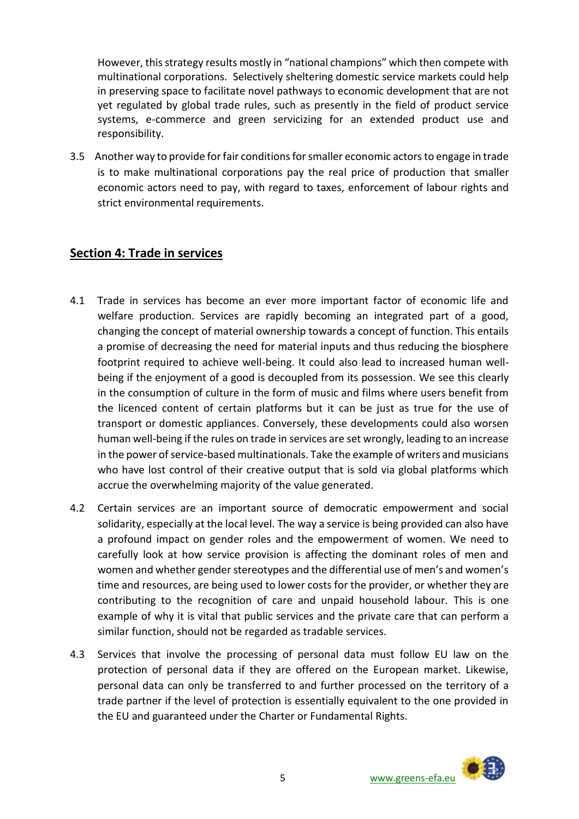However, this strategy results mostly in "national champions" which then compete with multinational corporations. Selectively sheltering domestic service markets could help in preserving space to facilitate novel pathways to economic development that are not yet regulated by global trade rules, such as presently in the field of product service systems, e-commerce and green servicizing for an extended product use and responsibility.

3.5 Another way to provide for fair conditions for smaller economic actors to engage in trade is to make multinational corporations pay the real price of production that smaller economic actors need to pay, with regard to taxes, enforcement of labour rights and strict environmental requirements.

## **Section 4: Trade in services**

- 4.1 Trade in services has become an ever more important factor of economic life and welfare production. Services are rapidly becoming an integrated part of a good, changing the concept of material ownership towards a concept of function. This entails a promise of decreasing the need for material inputs and thus reducing the biosphere footprint required to achieve well-being. It could also lead to increased human wellbeing if the enjoyment of a good is decoupled from its possession. We see this clearly in the consumption of culture in the form of music and films where users benefit from the licenced content of certain platforms but it can be just as true for the use of transport or domestic appliances. Conversely, these developments could also worsen human well-being if the rules on trade in services are set wrongly, leading to an increase in the power of service-based multinationals. Take the example of writers and musicians who have lost control of their creative output that is sold via global platforms which accrue the overwhelming majority of the value generated.
- 4.2 Certain services are an important source of democratic empowerment and social solidarity, especially at the local level. The way a service is being provided can also have a profound impact on gender roles and the empowerment of women. We need to carefully look at how service provision is affecting the dominant roles of men and women and whether gender stereotypes and the differential use of men's and women's time and resources, are being used to lower costs for the provider, or whether they are contributing to the recognition of care and unpaid household labour. This is one example of why it is vital that public services and the private care that can perform a similar function, should not be regarded as tradable services.
- 4.3 Services that involve the processing of personal data must follow EU law on the protection of personal data if they are offered on the European market. Likewise, personal data can only be transferred to and further processed on the territory of a trade partner if the level of protection is essentially equivalent to the one provided in the EU and guaranteed under the Charter or Fundamental Rights.

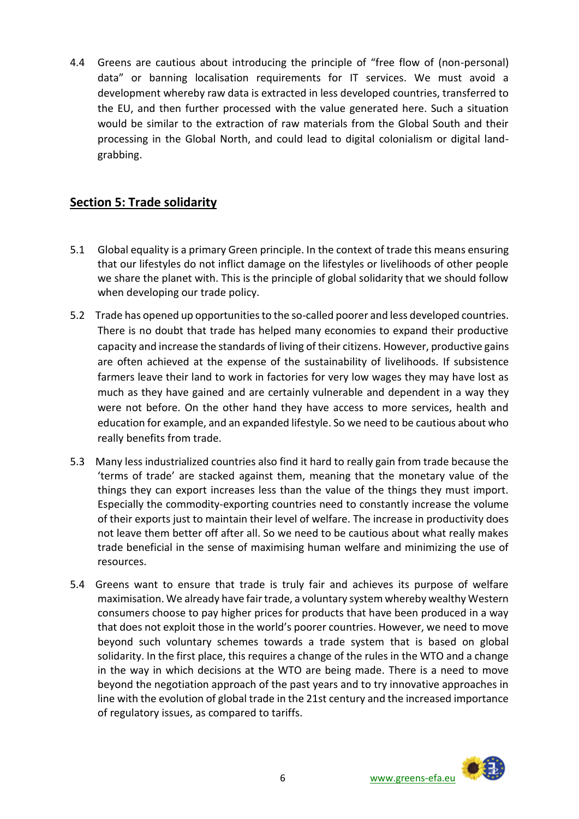4.4 Greens are cautious about introducing the principle of "free flow of (non-personal) data" or banning localisation requirements for IT services. We must avoid a development whereby raw data is extracted in less developed countries, transferred to the EU, and then further processed with the value generated here. Such a situation would be similar to the extraction of raw materials from the Global South and their processing in the Global North, and could lead to digital colonialism or digital landgrabbing.

## **Section 5: Trade solidarity**

- 5.1 Global equality is a primary Green principle. In the context of trade this means ensuring that our lifestyles do not inflict damage on the lifestyles or livelihoods of other people we share the planet with. This is the principle of global solidarity that we should follow when developing our trade policy.
- 5.2 Trade has opened up opportunities to the so-called poorer and less developed countries. There is no doubt that trade has helped many economies to expand their productive capacity and increase the standards of living of their citizens. However, productive gains are often achieved at the expense of the sustainability of livelihoods. If subsistence farmers leave their land to work in factories for very low wages they may have lost as much as they have gained and are certainly vulnerable and dependent in a way they were not before. On the other hand they have access to more services, health and education for example, and an expanded lifestyle. So we need to be cautious about who really benefits from trade.
- 5.3 Many less industrialized countries also find it hard to really gain from trade because the 'terms of trade' are stacked against them, meaning that the monetary value of the things they can export increases less than the value of the things they must import. Especially the commodity-exporting countries need to constantly increase the volume of their exports just to maintain their level of welfare. The increase in productivity does not leave them better off after all. So we need to be cautious about what really makes trade beneficial in the sense of maximising human welfare and minimizing the use of resources.
- 5.4 Greens want to ensure that trade is truly fair and achieves its purpose of welfare maximisation. We already have fair trade, a voluntary system whereby wealthy Western consumers choose to pay higher prices for products that have been produced in a way that does not exploit those in the world's poorer countries. However, we need to move beyond such voluntary schemes towards a trade system that is based on global solidarity. In the first place, this requires a change of the rules in the WTO and a change in the way in which decisions at the WTO are being made. There is a need to move beyond the negotiation approach of the past years and to try innovative approaches in line with the evolution of global trade in the 21st century and the increased importance of regulatory issues, as compared to tariffs.

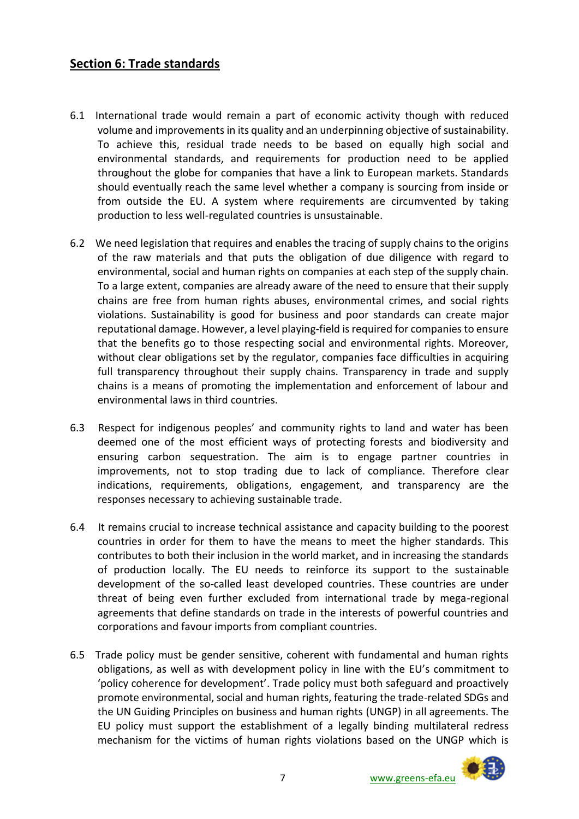## **Section 6: Trade standards**

- 6.1 International trade would remain a part of economic activity though with reduced volume and improvements in its quality and an underpinning objective of sustainability. To achieve this, residual trade needs to be based on equally high social and environmental standards, and requirements for production need to be applied throughout the globe for companies that have a link to European markets. Standards should eventually reach the same level whether a company is sourcing from inside or from outside the EU. A system where requirements are circumvented by taking production to less well-regulated countries is unsustainable.
- 6.2 We need legislation that requires and enables the tracing of supply chains to the origins of the raw materials and that puts the obligation of due diligence with regard to environmental, social and human rights on companies at each step of the supply chain. To a large extent, companies are already aware of the need to ensure that their supply chains are free from human rights abuses, environmental crimes, and social rights violations. Sustainability is good for business and poor standards can create major reputational damage. However, a level playing-field is required for companies to ensure that the benefits go to those respecting social and environmental rights. Moreover, without clear obligations set by the regulator, companies face difficulties in acquiring full transparency throughout their supply chains. Transparency in trade and supply chains is a means of promoting the implementation and enforcement of labour and environmental laws in third countries.
- 6.3 Respect for indigenous peoples' and community rights to land and water has been deemed one of the most efficient ways of protecting forests and biodiversity and ensuring carbon sequestration. The aim is to engage partner countries in improvements, not to stop trading due to lack of compliance. Therefore clear indications, requirements, obligations, engagement, and transparency are the responses necessary to achieving sustainable trade.
- 6.4 It remains crucial to increase technical assistance and capacity building to the poorest countries in order for them to have the means to meet the higher standards. This contributes to both their inclusion in the world market, and in increasing the standards of production locally. The EU needs to reinforce its support to the sustainable development of the so-called least developed countries. These countries are under threat of being even further excluded from international trade by mega-regional agreements that define standards on trade in the interests of powerful countries and corporations and favour imports from compliant countries.
- 6.5 Trade policy must be gender sensitive, coherent with fundamental and human rights obligations, as well as with development policy in line with the EU's commitment to 'policy coherence for development'. Trade policy must both safeguard and proactively promote environmental, social and human rights, featuring the trade-related SDGs and the UN Guiding Principles on business and human rights (UNGP) in all agreements. The EU policy must support the establishment of a legally binding multilateral redress mechanism for the victims of human rights violations based on the UNGP which is

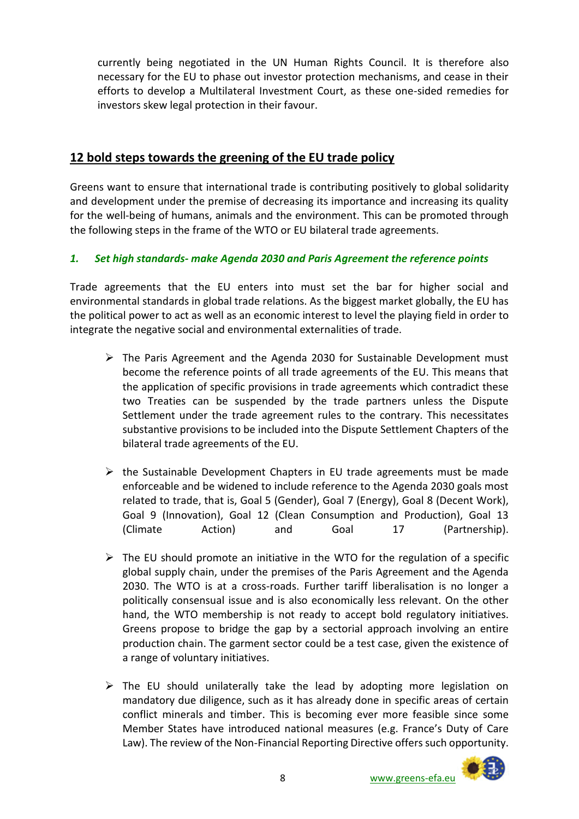currently being negotiated in the UN Human Rights Council. It is therefore also necessary for the EU to phase out investor protection mechanisms, and cease in their efforts to develop a Multilateral Investment Court, as these one-sided remedies for investors skew legal protection in their favour.

## **12 bold steps towards the greening of the EU trade policy**

Greens want to ensure that international trade is contributing positively to global solidarity and development under the premise of decreasing its importance and increasing its quality for the well-being of humans, animals and the environment. This can be promoted through the following steps in the frame of the WTO or EU bilateral trade agreements.

### *1. Set high standards- make Agenda 2030 and Paris Agreement the reference points*

Trade agreements that the EU enters into must set the bar for higher social and environmental standards in global trade relations. As the biggest market globally, the EU has the political power to act as well as an economic interest to level the playing field in order to integrate the negative social and environmental externalities of trade.

- $\triangleright$  The Paris Agreement and the Agenda 2030 for Sustainable Development must become the reference points of all trade agreements of the EU. This means that the application of specific provisions in trade agreements which contradict these two Treaties can be suspended by the trade partners unless the Dispute Settlement under the trade agreement rules to the contrary. This necessitates substantive provisions to be included into the Dispute Settlement Chapters of the bilateral trade agreements of the EU.
- $\triangleright$  the Sustainable Development Chapters in EU trade agreements must be made enforceable and be widened to include reference to the Agenda 2030 goals most related to trade, that is, Goal 5 (Gender), Goal 7 (Energy), Goal 8 (Decent Work), Goal 9 (Innovation), Goal 12 (Clean Consumption and Production), Goal 13 (Climate Action) and Goal 17 (Partnership).
- $\triangleright$  The EU should promote an initiative in the WTO for the regulation of a specific global supply chain, under the premises of the Paris Agreement and the Agenda 2030. The WTO is at a cross-roads. Further tariff liberalisation is no longer a politically consensual issue and is also economically less relevant. On the other hand, the WTO membership is not ready to accept bold regulatory initiatives. Greens propose to bridge the gap by a sectorial approach involving an entire production chain. The garment sector could be a test case, given the existence of a range of voluntary initiatives.
- $\triangleright$  The EU should unilaterally take the lead by adopting more legislation on mandatory due diligence, such as it has already done in specific areas of certain conflict minerals and timber. This is becoming ever more feasible since some Member States have introduced national measures (e.g. France's Duty of Care Law). The review of the Non-Financial Reporting Directive offers such opportunity.

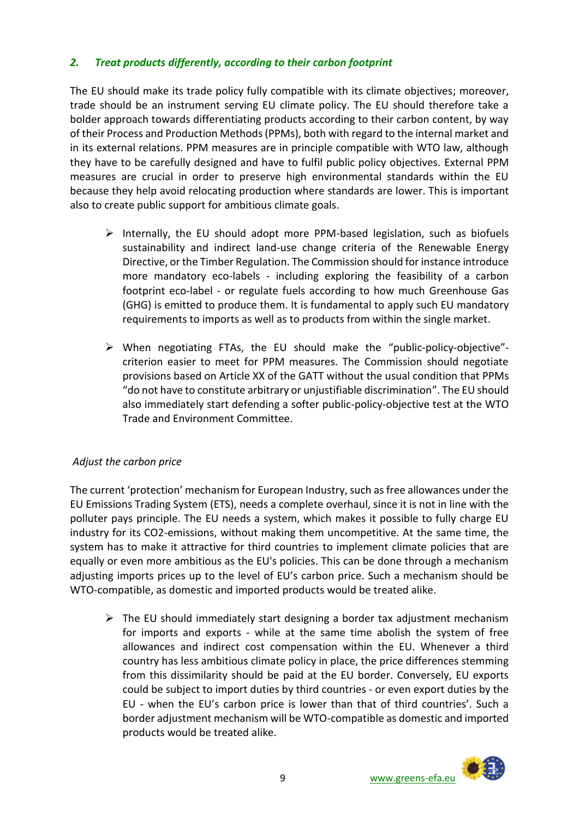#### *2. Treat products differently, according to their carbon footprint*

The EU should make its trade policy fully compatible with its climate objectives; moreover, trade should be an instrument serving EU climate policy. The EU should therefore take a bolder approach towards differentiating products according to their carbon content, by way of their Process and Production Methods (PPMs), both with regard to the internal market and in its external relations. PPM measures are in principle compatible with WTO law, although they have to be carefully designed and have to fulfil public policy objectives. External PPM measures are crucial in order to preserve high environmental standards within the EU because they help avoid relocating production where standards are lower. This is important also to create public support for ambitious climate goals.

- $\triangleright$  Internally, the EU should adopt more PPM-based legislation, such as biofuels sustainability and indirect land-use change criteria of the Renewable Energy Directive, or the Timber Regulation. The Commission should for instance introduce more mandatory eco-labels - including exploring the feasibility of a carbon footprint eco-label - or regulate fuels according to how much Greenhouse Gas (GHG) is emitted to produce them. It is fundamental to apply such EU mandatory requirements to imports as well as to products from within the single market.
- $\triangleright$  When negotiating FTAs, the EU should make the "public-policy-objective"criterion easier to meet for PPM measures. The Commission should negotiate provisions based on Article XX of the GATT without the usual condition that PPMs "do not have to constitute arbitrary or unjustifiable discrimination". The EU should also immediately start defending a softer public-policy-objective test at the WTO Trade and Environment Committee.

#### *Adjust the carbon price*

The current 'protection' mechanism for European Industry, such as free allowances under the EU Emissions Trading System (ETS), needs a complete overhaul, since it is not in line with the polluter pays principle. The EU needs a system, which makes it possible to fully charge EU industry for its CO2-emissions, without making them uncompetitive. At the same time, the system has to make it attractive for third countries to implement climate policies that are equally or even more ambitious as the EU's policies. This can be done through a mechanism adjusting imports prices up to the level of EU's carbon price. Such a mechanism should be WTO-compatible, as domestic and imported products would be treated alike.

 $\triangleright$  The EU should immediately start designing a border tax adjustment mechanism for imports and exports - while at the same time abolish the system of free allowances and indirect cost compensation within the EU. Whenever a third country has less ambitious climate policy in place, the price differences stemming from this dissimilarity should be paid at the EU border. Conversely, EU exports could be subject to import duties by third countries - or even export duties by the EU - when the EU's carbon price is lower than that of third countries'. Such a border adjustment mechanism will be WTO-compatible as domestic and imported products would be treated alike.

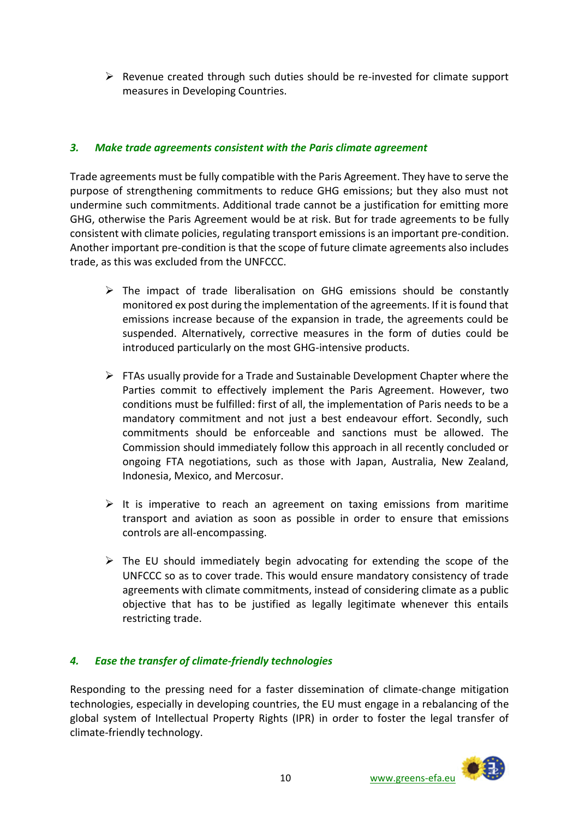$\triangleright$  Revenue created through such duties should be re-invested for climate support measures in Developing Countries.

#### *3. Make trade agreements consistent with the Paris climate agreement*

Trade agreements must be fully compatible with the Paris Agreement. They have to serve the purpose of strengthening commitments to reduce GHG emissions; but they also must not undermine such commitments. Additional trade cannot be a justification for emitting more GHG, otherwise the Paris Agreement would be at risk. But for trade agreements to be fully consistent with climate policies, regulating transport emissions is an important pre-condition. Another important pre-condition is that the scope of future climate agreements also includes trade, as this was excluded from the UNFCCC.

- $\triangleright$  The impact of trade liberalisation on GHG emissions should be constantly monitored ex post during the implementation of the agreements. If it is found that emissions increase because of the expansion in trade, the agreements could be suspended. Alternatively, corrective measures in the form of duties could be introduced particularly on the most GHG-intensive products.
- $\triangleright$  FTAs usually provide for a Trade and Sustainable Development Chapter where the Parties commit to effectively implement the Paris Agreement. However, two conditions must be fulfilled: first of all, the implementation of Paris needs to be a mandatory commitment and not just a best endeavour effort. Secondly, such commitments should be enforceable and sanctions must be allowed. The Commission should immediately follow this approach in all recently concluded or ongoing FTA negotiations, such as those with Japan, Australia, New Zealand, Indonesia, Mexico, and Mercosur.
- $\triangleright$  It is imperative to reach an agreement on taxing emissions from maritime transport and aviation as soon as possible in order to ensure that emissions controls are all-encompassing.
- $\triangleright$  The EU should immediately begin advocating for extending the scope of the UNFCCC so as to cover trade. This would ensure mandatory consistency of trade agreements with climate commitments, instead of considering climate as a public objective that has to be justified as legally legitimate whenever this entails restricting trade.

### *4. Ease the transfer of climate-friendly technologies*

Responding to the pressing need for a faster dissemination of climate-change mitigation technologies, especially in developing countries, the EU must engage in a rebalancing of the global system of Intellectual Property Rights (IPR) in order to foster the legal transfer of climate-friendly technology.

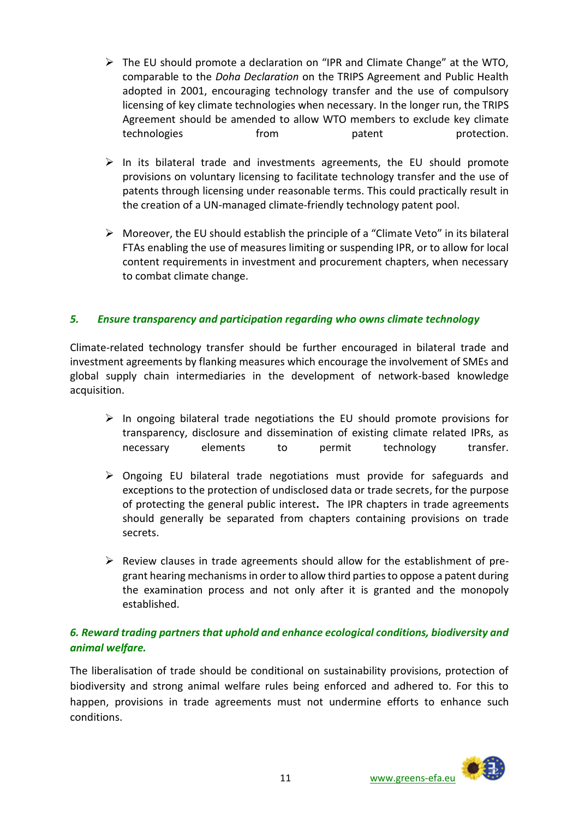- $\triangleright$  The EU should promote a declaration on "IPR and Climate Change" at the WTO, comparable to the *Doha Declaration* on the TRIPS Agreement and Public Health adopted in 2001, encouraging technology transfer and the use of compulsory licensing of key climate technologies when necessary. In the longer run, the TRIPS Agreement should be amended to allow WTO members to exclude key climate technologies from patent protection.
- $\triangleright$  In its bilateral trade and investments agreements, the EU should promote provisions on voluntary licensing to facilitate technology transfer and the use of patents through licensing under reasonable terms. This could practically result in the creation of a UN-managed climate-friendly technology patent pool.
- $\triangleright$  Moreover, the EU should establish the principle of a "Climate Veto" in its bilateral FTAs enabling the use of measures limiting or suspending IPR, or to allow for local content requirements in investment and procurement chapters, when necessary to combat climate change.

#### *5. Ensure transparency and participation regarding who owns climate technology*

Climate-related technology transfer should be further encouraged in bilateral trade and investment agreements by flanking measures which encourage the involvement of SMEs and global supply chain intermediaries in the development of network-based knowledge acquisition.

- $\triangleright$  In ongoing bilateral trade negotiations the EU should promote provisions for transparency, disclosure and dissemination of existing climate related IPRs, as necessary elements to permit technology transfer.
- $\triangleright$  Ongoing EU bilateral trade negotiations must provide for safeguards and exceptions to the protection of undisclosed data or trade secrets, for the purpose of protecting the general public interest**.** The IPR chapters in trade agreements should generally be separated from chapters containing provisions on trade secrets.
- $\triangleright$  Review clauses in trade agreements should allow for the establishment of pregrant hearing mechanisms in order to allow third parties to oppose a patent during the examination process and not only after it is granted and the monopoly established.

### *6. Reward trading partners that uphold and enhance ecological conditions, biodiversity and animal welfare.*

The liberalisation of trade should be conditional on sustainability provisions, protection of biodiversity and strong animal welfare rules being enforced and adhered to. For this to happen, provisions in trade agreements must not undermine efforts to enhance such conditions.

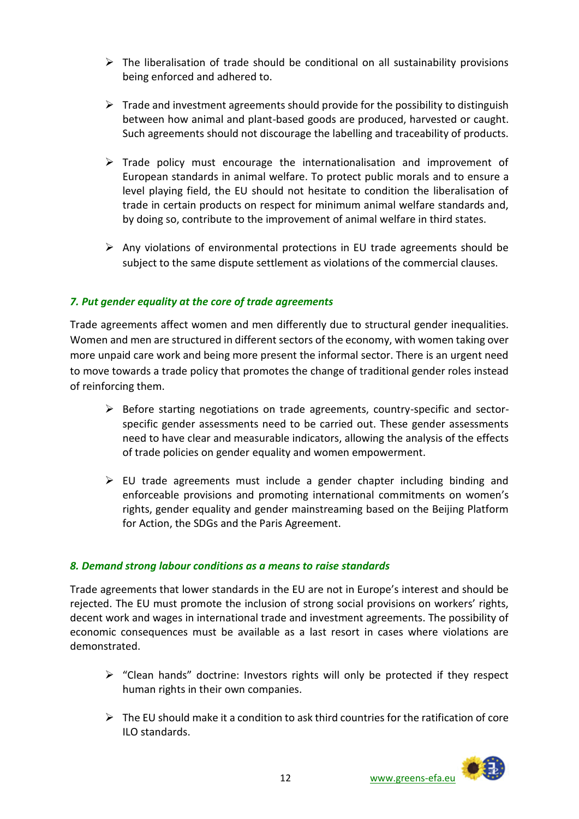- $\triangleright$  The liberalisation of trade should be conditional on all sustainability provisions being enforced and adhered to.
- $\triangleright$  Trade and investment agreements should provide for the possibility to distinguish between how animal and plant-based goods are produced, harvested or caught. Such agreements should not discourage the labelling and traceability of products.
- $\triangleright$  Trade policy must encourage the internationalisation and improvement of European standards in animal welfare. To protect public morals and to ensure a level playing field, the EU should not hesitate to condition the liberalisation of trade in certain products on respect for minimum animal welfare standards and, by doing so, contribute to the improvement of animal welfare in third states.
- $\triangleright$  Any violations of environmental protections in EU trade agreements should be subject to the same dispute settlement as violations of the commercial clauses.

#### *7. Put gender equality at the core of trade agreements*

Trade agreements affect women and men differently due to structural gender inequalities. Women and men are structured in different sectors of the economy, with women taking over more unpaid care work and being more present the informal sector. There is an urgent need to move towards a trade policy that promotes the change of traditional gender roles instead of reinforcing them.

- $\triangleright$  Before starting negotiations on trade agreements, country-specific and sectorspecific gender assessments need to be carried out. These gender assessments need to have clear and measurable indicators, allowing the analysis of the effects of trade policies on gender equality and women empowerment.
- $\triangleright$  EU trade agreements must include a gender chapter including binding and enforceable provisions and promoting international commitments on women's rights, gender equality and gender mainstreaming based on the Beijing Platform for Action, the SDGs and the Paris Agreement.

#### *8. Demand strong labour conditions as a means to raise standards*

Trade agreements that lower standards in the EU are not in Europe's interest and should be rejected. The EU must promote the inclusion of strong social provisions on workers' rights, decent work and wages in international trade and investment agreements. The possibility of economic consequences must be available as a last resort in cases where violations are demonstrated.

- $\triangleright$  "Clean hands" doctrine: Investors rights will only be protected if they respect human rights in their own companies.
- $\triangleright$  The FU should make it a condition to ask third countries for the ratification of core ILO standards.

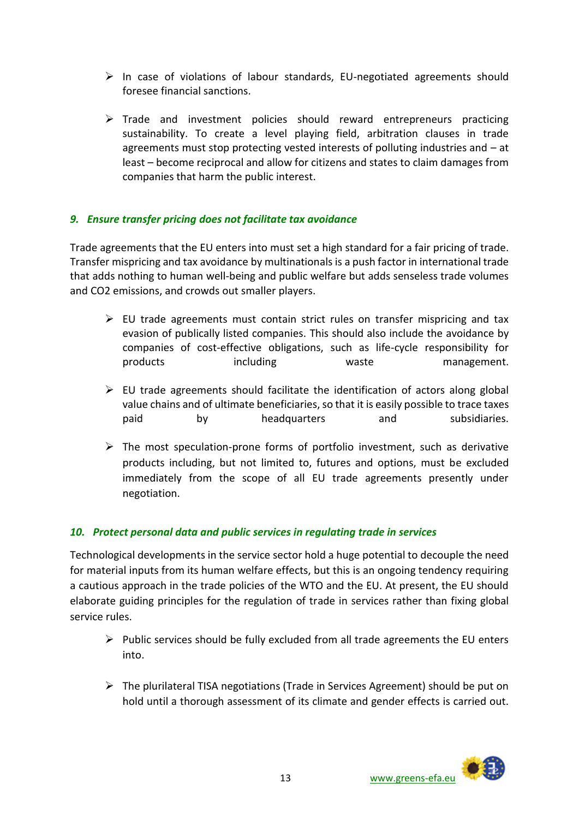- $\triangleright$  In case of violations of labour standards, EU-negotiated agreements should foresee financial sanctions.
- $\triangleright$  Trade and investment policies should reward entrepreneurs practicing sustainability. To create a level playing field, arbitration clauses in trade agreements must stop protecting vested interests of polluting industries and – at least – become reciprocal and allow for citizens and states to claim damages from companies that harm the public interest.

#### *9. Ensure transfer pricing does not facilitate tax avoidance*

Trade agreements that the EU enters into must set a high standard for a fair pricing of trade. Transfer mispricing and tax avoidance by multinationals is a push factor in international trade that adds nothing to human well-being and public welfare but adds senseless trade volumes and CO2 emissions, and crowds out smaller players.

- $\triangleright$  EU trade agreements must contain strict rules on transfer mispricing and tax evasion of publically listed companies. This should also include the avoidance by companies of cost-effective obligations, such as life-cycle responsibility for products including waste management.
- $\triangleright$  EU trade agreements should facilitate the identification of actors along global value chains and of ultimate beneficiaries, so that it is easily possible to trace taxes paid by headquarters and subsidiaries.
- $\triangleright$  The most speculation-prone forms of portfolio investment, such as derivative products including, but not limited to, futures and options, must be excluded immediately from the scope of all EU trade agreements presently under negotiation.

### *10. Protect personal data and public services in regulating trade in services*

Technological developments in the service sector hold a huge potential to decouple the need for material inputs from its human welfare effects, but this is an ongoing tendency requiring a cautious approach in the trade policies of the WTO and the EU. At present, the EU should elaborate guiding principles for the regulation of trade in services rather than fixing global service rules.

- $\triangleright$  Public services should be fully excluded from all trade agreements the EU enters into.
- $\triangleright$  The plurilateral TISA negotiations (Trade in Services Agreement) should be put on hold until a thorough assessment of its climate and gender effects is carried out.

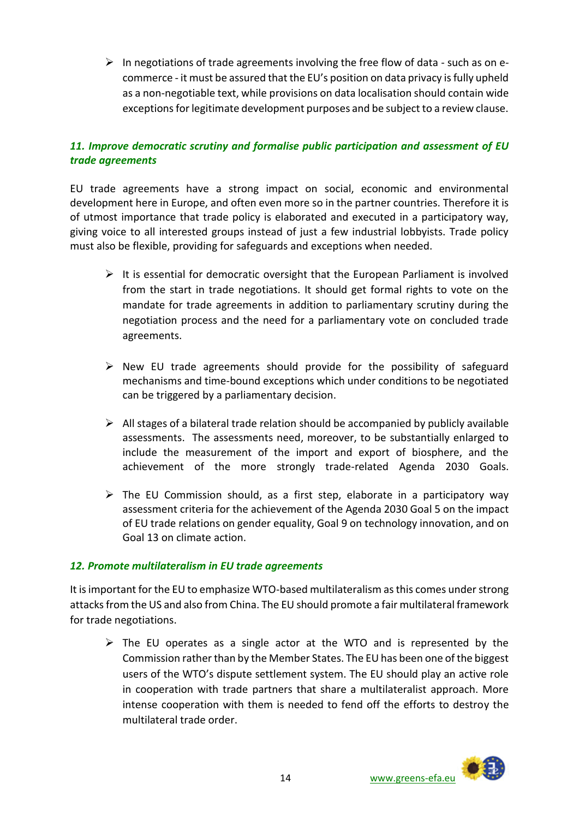$\triangleright$  In negotiations of trade agreements involving the free flow of data - such as on ecommerce - it must be assured that the EU's position on data privacy is fully upheld as a non-negotiable text, while provisions on data localisation should contain wide exceptions for legitimate development purposes and be subject to a review clause.

### *11. Improve democratic scrutiny and formalise public participation and assessment of EU trade agreements*

EU trade agreements have a strong impact on social, economic and environmental development here in Europe, and often even more so in the partner countries. Therefore it is of utmost importance that trade policy is elaborated and executed in a participatory way, giving voice to all interested groups instead of just a few industrial lobbyists. Trade policy must also be flexible, providing for safeguards and exceptions when needed.

- $\triangleright$  It is essential for democratic oversight that the European Parliament is involved from the start in trade negotiations. It should get formal rights to vote on the mandate for trade agreements in addition to parliamentary scrutiny during the negotiation process and the need for a parliamentary vote on concluded trade agreements.
- $\triangleright$  New EU trade agreements should provide for the possibility of safeguard mechanisms and time-bound exceptions which under conditions to be negotiated can be triggered by a parliamentary decision.
- $\triangleright$  All stages of a bilateral trade relation should be accompanied by publicly available assessments. The assessments need, moreover, to be substantially enlarged to include the measurement of the import and export of biosphere, and the achievement of the more strongly trade-related Agenda 2030 Goals.
- $\triangleright$  The EU Commission should, as a first step, elaborate in a participatory way assessment criteria for the achievement of the Agenda 2030 Goal 5 on the impact of EU trade relations on gender equality, Goal 9 on technology innovation, and on Goal 13 on climate action.

#### *12. Promote multilateralism in EU trade agreements*

It is important for the EU to emphasize WTO-based multilateralism as this comes under strong attacks from the US and also from China. The EU should promote a fair multilateral framework for trade negotiations.

 $\triangleright$  The EU operates as a single actor at the WTO and is represented by the Commission rather than by the Member States. The EU has been one of the biggest users of the WTO's dispute settlement system. The EU should play an active role in cooperation with trade partners that share a multilateralist approach. More intense cooperation with them is needed to fend off the efforts to destroy the multilateral trade order.